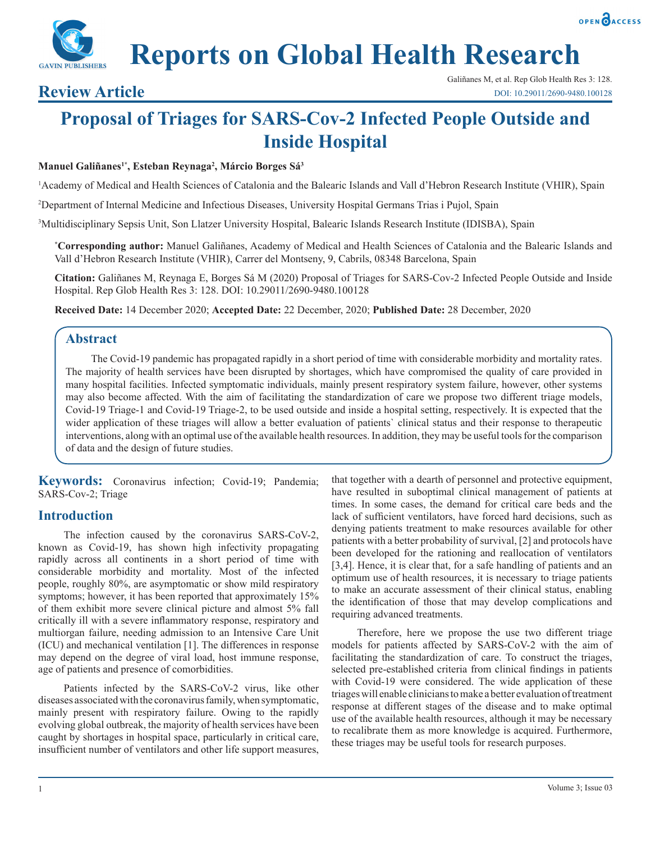



# **Reports on Global Health Research**

## **Proposal of Triages for SARS-Cov-2 Infected People Outside and Inside Hospital**

#### **Manuel Galiñanes1\*, Esteban Reynaga2 , Márcio Borges Sá3**

1 Academy of Medical and Health Sciences of Catalonia and the Balearic Islands and Vall d'Hebron Research Institute (VHIR), Spain

2 Department of Internal Medicine and Infectious Diseases, University Hospital Germans Trias i Pujol, Spain

3 Multidisciplinary Sepsis Unit, Son Llatzer University Hospital, Balearic Islands Research Institute (IDISBA), Spain

**\* Corresponding author:** Manuel Galiñanes, Academy of Medical and Health Sciences of Catalonia and the Balearic Islands and Vall d'Hebron Research Institute (VHIR), Carrer del Montseny, 9, Cabrils, 08348 Barcelona, Spain

**Citation:** Galiñanes M, Reynaga E, Borges Sá M (2020) Proposal of Triages for SARS-Cov-2 Infected People Outside and Inside Hospital. Rep Glob Health Res 3: 128. DOI: 10.29011/2690-9480.100128

**Received Date:** 14 December 2020; **Accepted Date:** 22 December, 2020; **Published Date:** 28 December, 2020

### **Abstract**

The Covid-19 pandemic has propagated rapidly in a short period of time with considerable morbidity and mortality rates. The majority of health services have been disrupted by shortages, which have compromised the quality of care provided in many hospital facilities. Infected symptomatic individuals, mainly present respiratory system failure, however, other systems may also become affected. With the aim of facilitating the standardization of care we propose two different triage models, Covid-19 Triage-1 and Covid-19 Triage-2, to be used outside and inside a hospital setting, respectively. It is expected that the wider application of these triages will allow a better evaluation of patients` clinical status and their response to therapeutic interventions, along with an optimal use of the available health resources. In addition, they may be useful tools for the comparison of data and the design of future studies.

**Keywords:** Coronavirus infection; Covid-19; Pandemia; SARS-Cov-2; Triage

### **Introduction**

The infection caused by the coronavirus SARS-CoV-2, known as Covid-19, has shown high infectivity propagating rapidly across all continents in a short period of time with considerable morbidity and mortality. Most of the infected people, roughly 80%, are asymptomatic or show mild respiratory symptoms; however, it has been reported that approximately 15% of them exhibit more severe clinical picture and almost 5% fall critically ill with a severe inflammatory response, respiratory and multiorgan failure, needing admission to an Intensive Care Unit (ICU) and mechanical ventilation [1]. The differences in response may depend on the degree of viral load, host immune response, age of patients and presence of comorbidities.

Patients infected by the SARS-CoV-2 virus, like other diseases associated with the coronavirus family, when symptomatic, mainly present with respiratory failure. Owing to the rapidly evolving global outbreak, the majority of health services have been caught by shortages in hospital space, particularly in critical care, insufficient number of ventilators and other life support measures, that together with a dearth of personnel and protective equipment, have resulted in suboptimal clinical management of patients at times. In some cases, the demand for critical care beds and the lack of sufficient ventilators, have forced hard decisions, such as denying patients treatment to make resources available for other patients with a better probability of survival, [2] and protocols have been developed for the rationing and reallocation of ventilators [3,4]. Hence, it is clear that, for a safe handling of patients and an optimum use of health resources, it is necessary to triage patients to make an accurate assessment of their clinical status, enabling the identification of those that may develop complications and requiring advanced treatments.

Therefore, here we propose the use two different triage models for patients affected by SARS-CoV-2 with the aim of facilitating the standardization of care. To construct the triages, selected pre-established criteria from clinical findings in patients with Covid-19 were considered. The wide application of these triages will enable clinicians to make a better evaluation of treatment response at different stages of the disease and to make optimal use of the available health resources, although it may be necessary to recalibrate them as more knowledge is acquired. Furthermore, these triages may be useful tools for research purposes.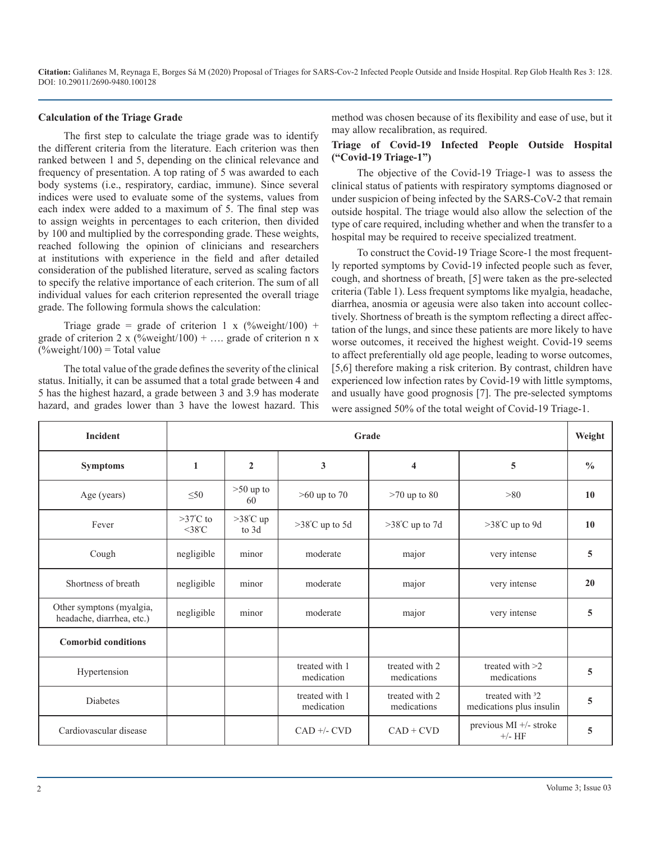#### **Calculation of the Triage Grade**

The first step to calculate the triage grade was to identify the different criteria from the literature. Each criterion was then ranked between 1 and 5, depending on the clinical relevance and frequency of presentation. A top rating of 5 was awarded to each body systems (i.e., respiratory, cardiac, immune). Since several indices were used to evaluate some of the systems, values from each index were added to a maximum of 5. The final step was to assign weights in percentages to each criterion, then divided by 100 and multiplied by the corresponding grade. These weights, reached following the opinion of clinicians and researchers at institutions with experience in the field and after detailed consideration of the published literature, served as scaling factors to specify the relative importance of each criterion. The sum of all individual values for each criterion represented the overall triage grade. The following formula shows the calculation:

Triage grade = grade of criterion 1 x (%weight/100) + grade of criterion 2 x (%weight/100) + .... grade of criterion n x  $(^{\circ}\!\!/\!\omega$ weight $/100$ ) = Total value

The total value of the grade defines the severity of the clinical status. Initially, it can be assumed that a total grade between 4 and 5 has the highest hazard, a grade between 3 and 3.9 has moderate hazard, and grades lower than 3 have the lowest hazard. This method was chosen because of its flexibility and ease of use, but it may allow recalibration, as required.

#### **Triage of Covid-19 Infected People Outside Hospital ("Covid-19 Triage-1")**

The objective of the Covid-19 Triage-1 was to assess the clinical status of patients with respiratory symptoms diagnosed or under suspicion of being infected by the SARS-CoV-2 that remain outside hospital. The triage would also allow the selection of the type of care required, including whether and when the transfer to a hospital may be required to receive specialized treatment.

To construct the Covid-19 Triage Score-1 the most frequently reported symptoms by Covid-19 infected people such as fever, cough, and shortness of breath, [5] were taken as the pre-selected criteria (Table 1). Less frequent symptoms like myalgia, headache, diarrhea, anosmia or ageusia were also taken into account collectively. Shortness of breath is the symptom reflecting a direct affectation of the lungs, and since these patients are more likely to have worse outcomes, it received the highest weight. Covid-19 seems to affect preferentially old age people, leading to worse outcomes, [5,6] therefore making a risk criterion. By contrast, children have experienced low infection rates by Covid-19 with little symptoms, and usually have good prognosis [7]. The pre-selected symptoms were assigned 50% of the total weight of Covid-19 Triage-1.

| <b>Incident</b>                                       | Grade<br>Weight                           |                             |                                            |                               |                                                         |               |  |
|-------------------------------------------------------|-------------------------------------------|-----------------------------|--------------------------------------------|-------------------------------|---------------------------------------------------------|---------------|--|
| <b>Symptoms</b>                                       | $\mathbf{1}$                              | $\mathbf{2}$                | 3                                          | $\overline{\mathbf{4}}$       | 5                                                       | $\frac{0}{0}$ |  |
| Age (years)                                           | $\leq 50$                                 | $>50$ up to<br>60           | $>60$ up to $70$<br>$>70$ up to 80<br>> 80 |                               |                                                         | 10            |  |
| Fever                                                 | $>37^{\circ}$ C to<br>$<$ 38 $^{\circ}$ C | $>38^{\circ}$ C up<br>to 3d | $>38^{\circ}$ C up to 5d                   | $>38^{\circ}$ C up to 7d      | $>38^{\circ}$ C up to 9d                                | 10            |  |
| Cough                                                 | negligible                                | minor                       | moderate                                   | major                         | very intense                                            | 5             |  |
| Shortness of breath                                   | negligible                                | minor                       | moderate                                   | major                         | very intense                                            | 20            |  |
| Other symptons (myalgia,<br>headache, diarrhea, etc.) | negligible                                | minor                       | moderate                                   | major                         | very intense                                            | 5             |  |
| <b>Comorbid conditions</b>                            |                                           |                             |                                            |                               |                                                         |               |  |
| Hypertension                                          |                                           |                             | treated with 1<br>medication               | treated with 2<br>medications | treated with $>2$<br>medications                        | 5             |  |
| <b>Diabetes</b>                                       |                                           |                             | treated with 1<br>medication               | treated with 2<br>medications | treated with <sup>3</sup> 2<br>medications plus insulin | 5             |  |
| Cardiovascular disease                                |                                           |                             | $CAD +/- CVD$                              | $CAD + CVD$                   | previous $MI$ +/- stroke<br>$+/-\mathrm{HF}$            | 5             |  |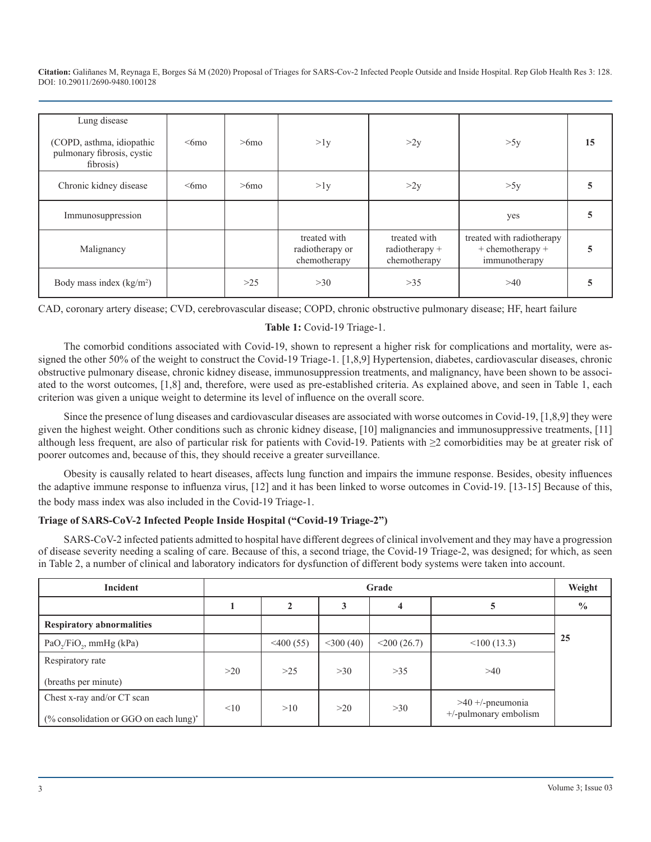| Lung disease<br>(COPD, asthma, idiopathic<br>pulmonary fibrosis, cystic<br>fibrosis) | $<$ 6mo | $>6$ mo | >1y                                             | >2y                                              | >5y                                                                | 15 |
|--------------------------------------------------------------------------------------|---------|---------|-------------------------------------------------|--------------------------------------------------|--------------------------------------------------------------------|----|
| Chronic kidney disease                                                               | $<$ 6mo | $>6$ mo | >1y                                             | >2y                                              | >5y                                                                |    |
| Immunosuppression                                                                    |         |         |                                                 |                                                  | yes                                                                |    |
| Malignancy                                                                           |         |         | treated with<br>radiotherapy or<br>chemotherapy | treated with<br>radiotherapy $+$<br>chemotherapy | treated with radiotherapy<br>$+$ chemotherapy $+$<br>immunotherapy |    |
| Body mass index $(kg/m2)$                                                            |         | $>25$   | >30                                             | $>35$                                            | >40                                                                |    |

CAD, coronary artery disease; CVD, cerebrovascular disease; COPD, chronic obstructive pulmonary disease; HF, heart failure

#### **Table 1:** Covid-19 Triage-1.

The comorbid conditions associated with Covid-19, shown to represent a higher risk for complications and mortality, were assigned the other 50% of the weight to construct the Covid-19 Triage-1. [1,8,9] Hypertension, diabetes, cardiovascular diseases, chronic obstructive pulmonary disease, chronic kidney disease, immunosuppression treatments, and malignancy, have been shown to be associated to the worst outcomes, [1,8] and, therefore, were used as pre-established criteria. As explained above, and seen in Table 1, each criterion was given a unique weight to determine its level of influence on the overall score.

Since the presence of lung diseases and cardiovascular diseases are associated with worse outcomes in Covid-19, [1,8,9] they were given the highest weight. Other conditions such as chronic kidney disease, [10] malignancies and immunosuppressive treatments, [11] although less frequent, are also of particular risk for patients with Covid-19. Patients with ≥2 comorbidities may be at greater risk of poorer outcomes and, because of this, they should receive a greater surveillance.

Obesity is causally related to heart diseases, affects lung function and impairs the immune response. Besides, obesity influences the adaptive immune response to influenza virus, [12] and it has been linked to worse outcomes in Covid-19. [13-15] Because of this, the body mass index was also included in the Covid-19 Triage-1.

#### **Triage of SARS-CoV-2 Infected People Inside Hospital ("Covid-19 Triage-2")**

SARS-CoV-2 infected patients admitted to hospital have different degrees of clinical involvement and they may have a progression of disease severity needing a scaling of care. Because of this, a second triage, the Covid-19 Triage-2, was designed; for which, as seen in Table 2, a number of clinical and laboratory indicators for dysfunction of different body systems were taken into account.

| Incident                                                             | Grade |              |              |                |                                             |               |
|----------------------------------------------------------------------|-------|--------------|--------------|----------------|---------------------------------------------|---------------|
|                                                                      |       | $\mathbf{2}$ | 3            | 4              | C                                           | $\frac{0}{0}$ |
| <b>Respiratory abnormalities</b>                                     |       |              |              |                |                                             |               |
| PaO <sub>2</sub> /FiO <sub>2</sub> , mmHg (kPa)                      |       | $<$ 400 (55) | $<$ 300 (40) | $<$ 200 (26.7) | $\leq 100(13.3)$                            | 25            |
| Respiratory rate                                                     | >20   | $>25$        | >30          | $>35$          | >40                                         |               |
| (breaths per minute)                                                 |       |              |              |                |                                             |               |
| Chest x-ray and/or CT scan<br>(% consolidation or GGO on each lung)* | < 10  | >10          | >20          | >30            | $>40 +$ -pneumonia<br>+/-pulmonary embolism |               |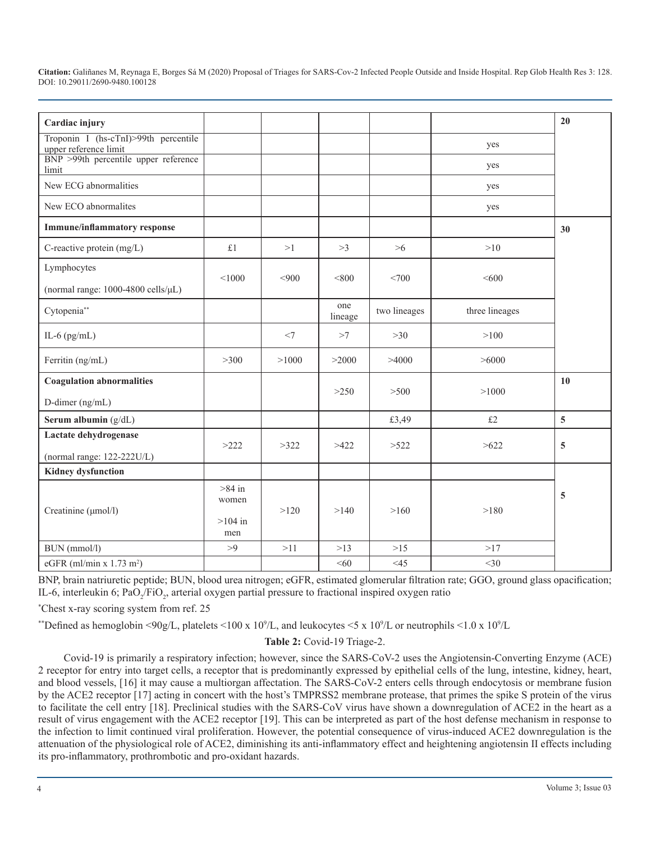| Cardiac injury                                                                                        |                                       |       |                |              |                | 20             |
|-------------------------------------------------------------------------------------------------------|---------------------------------------|-------|----------------|--------------|----------------|----------------|
| Troponin I (hs-cTnI)>99th percentile<br>upper reference limit<br>BNP >99th percentile upper reference |                                       |       |                |              | yes            |                |
| limit                                                                                                 |                                       |       |                |              | yes            |                |
| New ECG abnormalities                                                                                 |                                       |       |                |              | yes            |                |
| New ECO abnormalites                                                                                  |                                       |       |                |              | yes            |                |
| <b>Immune/inflammatory response</b>                                                                   |                                       |       |                |              |                | 30             |
| C-reactive protein (mg/L)                                                                             | £1                                    | >1    | >3             | $>6$         | >10            |                |
| Lymphocytes                                                                                           | < 1000                                | <900  | < 800          | <700         | <600           |                |
| (normal range: 1000-4800 cells/µL)                                                                    |                                       |       |                |              |                |                |
| Cytopenia**                                                                                           |                                       |       | one<br>lineage | two lineages | three lineages |                |
| IL-6 $(pg/mL)$                                                                                        |                                       | $<$ 7 | >7             | >30          | >100           |                |
| Ferritin (ng/mL)                                                                                      | >300                                  | >1000 | >2000          | >4000        | >6000          |                |
| <b>Coagulation abnormalities</b>                                                                      |                                       |       | >250           | >500         | >1000          | 10             |
| D-dimer (ng/mL)                                                                                       |                                       |       |                |              |                |                |
| Serum albumin (g/dL)                                                                                  |                                       |       |                | £3,49        | $\pounds2$     | $\overline{5}$ |
| Lactate dehydrogenase                                                                                 | >222                                  | >322  | >422           | >522         | >622           | 5              |
| (normal range: $122-222U/L$ )                                                                         |                                       |       |                |              |                |                |
| <b>Kidney dysfunction</b>                                                                             |                                       |       |                |              |                |                |
| Creatinine (µmol/l)                                                                                   | $>84$ in<br>women<br>$>104$ in<br>men | >120  | >140           | >160         | >180           | 5              |
| BUN (mmol/l)                                                                                          | >9                                    | >11   | $>13$          | $>15$        | >17            |                |
| eGFR (ml/min x $1.73$ m <sup>2</sup> )                                                                |                                       |       | <60            | <45          | $<$ 30         |                |

BNP, brain natriuretic peptide; BUN, blood urea nitrogen; eGFR, estimated glomerular filtration rate; GGO, ground glass opacification; IL-6, interleukin 6; PaO<sub>2</sub>/FiO<sub>2</sub>, arterial oxygen partial pressure to fractional inspired oxygen ratio

\* Chest x-ray scoring system from ref. 25

\*\*Defined as hemoglobin <90g/L, platelets <100 x 10<sup>9</sup>/L, and leukocytes <5 x 10<sup>9</sup>/L or neutrophils <1.0 x 10<sup>9</sup>/L

**Table 2:** Covid-19 Triage-2.

Covid-19 is primarily a respiratory infection; however, since the SARS-CoV-2 uses the Angiotensin-Converting Enzyme (ACE) 2 receptor for entry into target cells, a receptor that is predominantly expressed by epithelial cells of the lung, intestine, kidney, heart, and blood vessels, [16] it may cause a multiorgan affectation. The SARS-CoV-2 enters cells through endocytosis or membrane fusion by the ACE2 receptor [17] acting in concert with the host's TMPRSS2 membrane protease, that primes the spike S protein of the virus to facilitate the cell entry [18]. Preclinical studies with the SARS-CoV virus have shown a downregulation of ACE2 in the heart as a result of virus engagement with the ACE2 receptor [19]. This can be interpreted as part of the host defense mechanism in response to the infection to limit continued viral proliferation. However, the potential consequence of virus-induced ACE2 downregulation is the attenuation of the physiological role of ACE2, diminishing its anti-inflammatory effect and heightening angiotensin II effects including its pro-inflammatory, prothrombotic and pro-oxidant hazards.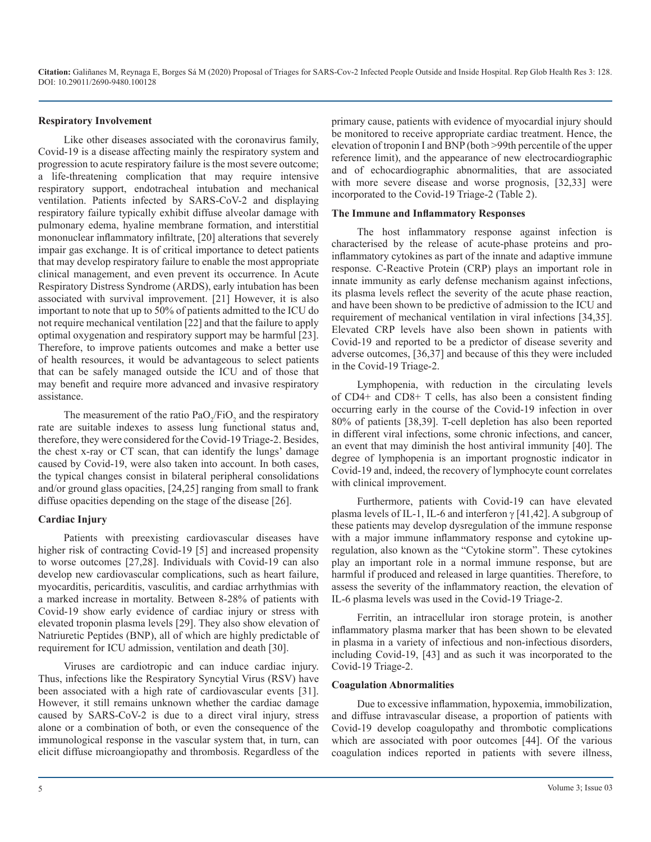#### **Respiratory Involvement**

Like other diseases associated with the coronavirus family, Covid-19 is a disease affecting mainly the respiratory system and progression to acute respiratory failure is the most severe outcome; a life-threatening complication that may require intensive respiratory support, endotracheal intubation and mechanical ventilation. Patients infected by SARS-CoV-2 and displaying respiratory failure typically exhibit diffuse alveolar damage with pulmonary edema, hyaline membrane formation, and interstitial mononuclear inflammatory infiltrate, [20] alterations that severely impair gas exchange. It is of critical importance to detect patients that may develop respiratory failure to enable the most appropriate clinical management, and even prevent its occurrence. In Acute Respiratory Distress Syndrome (ARDS), early intubation has been associated with survival improvement. [21] However, it is also important to note that up to 50% of patients admitted to the ICU do not require mechanical ventilation [22] and that the failure to apply optimal oxygenation and respiratory support may be harmful [23]. Therefore, to improve patients outcomes and make a better use of health resources, it would be advantageous to select patients that can be safely managed outside the ICU and of those that may benefit and require more advanced and invasive respiratory assistance.

The measurement of the ratio  $PaO_2/FiO_2$  and the respiratory rate are suitable indexes to assess lung functional status and, therefore, they were considered for the Covid-19 Triage-2. Besides, the chest x-ray or CT scan, that can identify the lungs' damage caused by Covid-19, were also taken into account. In both cases, the typical changes consist in bilateral peripheral consolidations and/or ground glass opacities, [24,25] ranging from small to frank diffuse opacities depending on the stage of the disease [26].

#### **Cardiac Injury**

Patients with preexisting cardiovascular diseases have higher risk of contracting Covid-19 [5] and increased propensity to worse outcomes [27,28]. Individuals with Covid-19 can also develop new cardiovascular complications, such as heart failure, myocarditis, pericarditis, vasculitis, and cardiac arrhythmias with a marked increase in mortality. Between 8-28% of patients with Covid-19 show early evidence of cardiac injury or stress with elevated troponin plasma levels [29]. They also show elevation of Natriuretic Peptides (BNP), all of which are highly predictable of requirement for ICU admission, ventilation and death [30].

Viruses are cardiotropic and can induce cardiac injury. Thus, infections like the Respiratory Syncytial Virus (RSV) have been associated with a high rate of cardiovascular events [31]. However, it still remains unknown whether the cardiac damage caused by SARS-CoV-2 is due to a direct viral injury, stress alone or a combination of both, or even the consequence of the immunological response in the vascular system that, in turn, can elicit diffuse microangiopathy and thrombosis. Regardless of the

primary cause, patients with evidence of myocardial injury should be monitored to receive appropriate cardiac treatment. Hence, the elevation of troponin I and BNP (both >99th percentile of the upper reference limit), and the appearance of new electrocardiographic and of echocardiographic abnormalities, that are associated with more severe disease and worse prognosis, [32,33] were incorporated to the Covid-19 Triage-2 (Table 2).

#### **The Immune and Inflammatory Responses**

The host inflammatory response against infection is characterised by the release of acute-phase proteins and proinflammatory cytokines as part of the innate and adaptive immune response. C-Reactive Protein (CRP) plays an important role in innate immunity as early defense mechanism against infections, its plasma levels reflect the severity of the acute phase reaction, and have been shown to be predictive of admission to the ICU and requirement of mechanical ventilation in viral infections [34,35]. Elevated CRP levels have also been shown in patients with Covid-19 and reported to be a predictor of disease severity and adverse outcomes, [36,37] and because of this they were included in the Covid-19 Triage-2.

Lymphopenia, with reduction in the circulating levels of CD4+ and CD8+ T cells, has also been a consistent finding occurring early in the course of the Covid-19 infection in over 80% of patients [38,39]. T-cell depletion has also been reported in different viral infections, some chronic infections, and cancer, an event that may diminish the host antiviral immunity [40]. The degree of lymphopenia is an important prognostic indicator in Covid-19 and, indeed, the recovery of lymphocyte count correlates with clinical improvement.

Furthermore, patients with Covid-19 can have elevated plasma levels of IL-1, IL-6 and interferon  $\gamma$  [41,42]. A subgroup of these patients may develop dysregulation of the immune response with a major immune inflammatory response and cytokine upregulation, also known as the "Cytokine storm". These cytokines play an important role in a normal immune response, but are harmful if produced and released in large quantities. Therefore, to assess the severity of the inflammatory reaction, the elevation of IL-6 plasma levels was used in the Covid-19 Triage-2.

Ferritin, an intracellular iron storage protein, is another inflammatory plasma marker that has been shown to be elevated in plasma in a variety of infectious and non-infectious disorders, including Covid-19, [43] and as such it was incorporated to the Covid-19 Triage-2.

#### **Coagulation Abnormalities**

Due to excessive inflammation, hypoxemia, immobilization, and diffuse intravascular disease, a proportion of patients with Covid-19 develop coagulopathy and thrombotic complications which are associated with poor outcomes [44]. Of the various coagulation indices reported in patients with severe illness,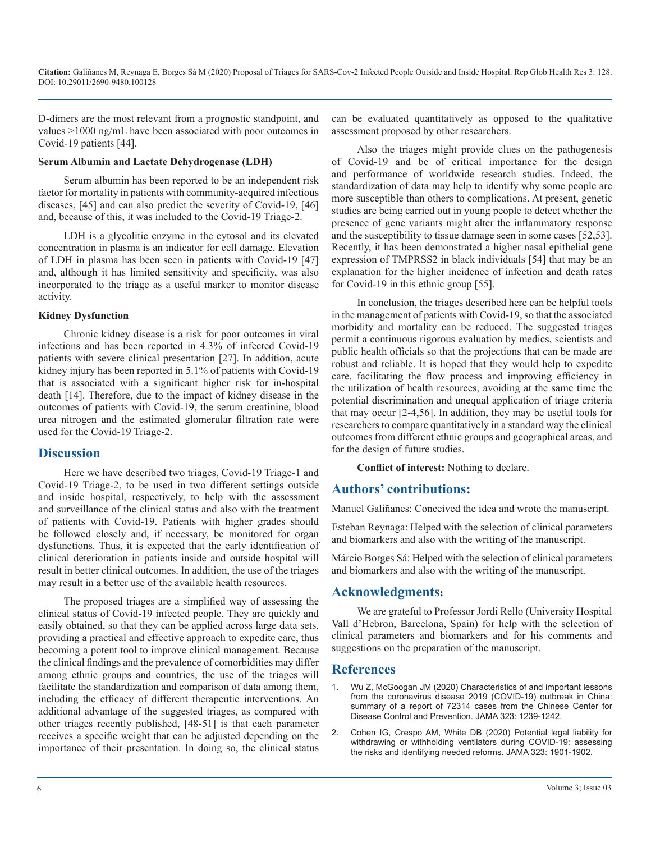D-dimers are the most relevant from a prognostic standpoint, and values >1000 ng/mL have been associated with poor outcomes in Covid-19 patients [44].

#### **Serum Albumin and Lactate Dehydrogenase (LDH)**

Serum albumin has been reported to be an independent risk factor for mortality in patients with community-acquired infectious diseases, [45] and can also predict the severity of Covid-19, [46] and, because of this, it was included to the Covid-19 Triage-2.

LDH is a glycolitic enzyme in the cytosol and its elevated concentration in plasma is an indicator for cell damage. Elevation of LDH in plasma has been seen in patients with Covid-19 [47] and, although it has limited sensitivity and specificity, was also incorporated to the triage as a useful marker to monitor disease activity.

#### **Kidney Dysfunction**

Chronic kidney disease is a risk for poor outcomes in viral infections and has been reported in 4.3% of infected Covid-19 patients with severe clinical presentation [27]. In addition, acute kidney injury has been reported in 5.1% of patients with Covid-19 that is associated with a significant higher risk for in-hospital death [14]. Therefore, due to the impact of kidney disease in the outcomes of patients with Covid-19, the serum creatinine, blood urea nitrogen and the estimated glomerular filtration rate were used for the Covid-19 Triage-2.

#### **Discussion**

Here we have described two triages, Covid-19 Triage-1 and Covid-19 Triage-2, to be used in two different settings outside and inside hospital, respectively, to help with the assessment and surveillance of the clinical status and also with the treatment of patients with Covid-19. Patients with higher grades should be followed closely and, if necessary, be monitored for organ dysfunctions. Thus, it is expected that the early identification of clinical deterioration in patients inside and outside hospital will result in better clinical outcomes. In addition, the use of the triages may result in a better use of the available health resources.

The proposed triages are a simplified way of assessing the clinical status of Covid-19 infected people. They are quickly and easily obtained, so that they can be applied across large data sets, providing a practical and effective approach to expedite care, thus becoming a potent tool to improve clinical management. Because the clinical findings and the prevalence of comorbidities may differ among ethnic groups and countries, the use of the triages will facilitate the standardization and comparison of data among them, including the efficacy of different therapeutic interventions. An additional advantage of the suggested triages, as compared with other triages recently published, [48-51] is that each parameter receives a specific weight that can be adjusted depending on the importance of their presentation. In doing so, the clinical status

can be evaluated quantitatively as opposed to the qualitative assessment proposed by other researchers.

Also the triages might provide clues on the pathogenesis of Covid-19 and be of critical importance for the design and performance of worldwide research studies. Indeed, the standardization of data may help to identify why some people are more susceptible than others to complications. At present, genetic studies are being carried out in young people to detect whether the presence of gene variants might alter the inflammatory response and the susceptibility to tissue damage seen in some cases [52,53]. Recently, it has been demonstrated a higher nasal epithelial gene expression of TMPRSS2 in black individuals [54] that may be an explanation for the higher incidence of infection and death rates for Covid-19 in this ethnic group [55].

In conclusion, the triages described here can be helpful tools in the management of patients with Covid-19, so that the associated morbidity and mortality can be reduced. The suggested triages permit a continuous rigorous evaluation by medics, scientists and public health officials so that the projections that can be made are robust and reliable. It is hoped that they would help to expedite care, facilitating the flow process and improving efficiency in the utilization of health resources, avoiding at the same time the potential discrimination and unequal application of triage criteria that may occur [2-4,56]. In addition, they may be useful tools for researchers to compare quantitatively in a standard way the clinical outcomes from different ethnic groups and geographical areas, and for the design of future studies.

**Conflict of interest:** Nothing to declare.

### **Authors' contributions:**

Manuel Galiñanes: Conceived the idea and wrote the manuscript.

Esteban Reynaga: Helped with the selection of clinical parameters and biomarkers and also with the writing of the manuscript.

Márcio Borges Sá: Helped with the selection of clinical parameters and biomarkers and also with the writing of the manuscript.

### **Acknowledgments:**

We are grateful to Professor Jordi Rello (University Hospital Vall d'Hebron, Barcelona, Spain) for help with the selection of clinical parameters and biomarkers and for his comments and suggestions on the preparation of the manuscript.

#### **References**

- 1. [Wu Z, McGoogan JM \(2020\) Characteristics of and important lessons](https://jamanetwork.com/journals/jama/fullarticle/2762130)  [from the coronavirus disease 2019 \(COVID-19\) outbreak in China:](https://jamanetwork.com/journals/jama/fullarticle/2762130)  [summary of a report of 72314 cases from the Chinese Center for](https://jamanetwork.com/journals/jama/fullarticle/2762130)  [Disease Control and Prevention.](https://jamanetwork.com/journals/jama/fullarticle/2762130) JAMA 323: 1239-1242.
- 2. [Cohen IG, Crespo AM, White DB \(2020\) Potential legal liability for](https://jamanetwork.com/journals/jama/fullarticle/2764239)  [withdrawing or withholding ventilators during COVID-19:](https://jamanetwork.com/journals/jama/fullarticle/2764239) assessing [the risks and identifying needed reforms.](https://jamanetwork.com/journals/jama/fullarticle/2764239) JAMA 323: 1901-1902.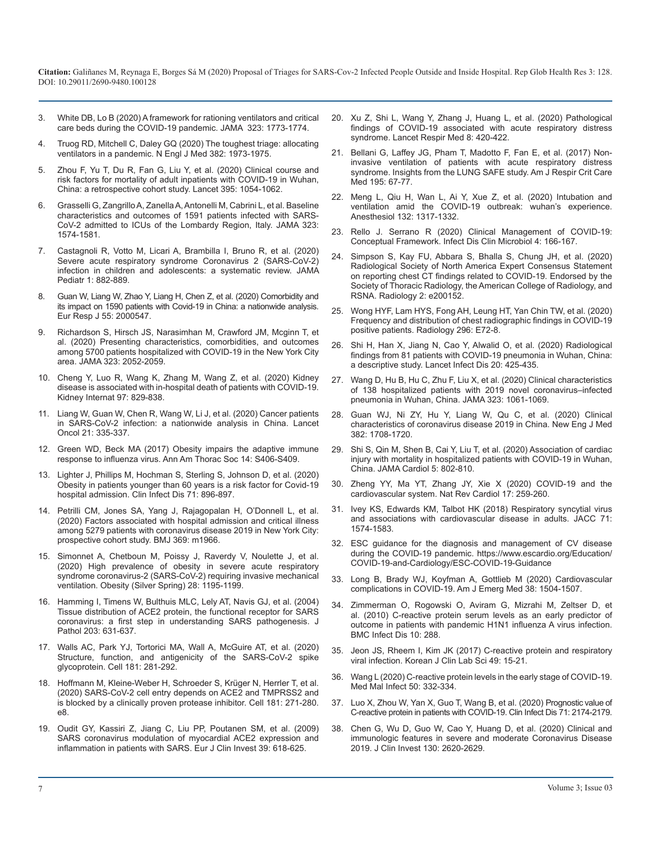- 3. [White DB, Lo B \(2020\) A framework for rationing ventilators and critical](https://jamanetwork.com/journals/jama/fullarticle/2763953) [care beds during the COVID-19 pandemic.](https://jamanetwork.com/journals/jama/fullarticle/2763953) JAMA 323: 1773-1774.
- 4. [Truog RD, Mitchell C, Daley GQ \(2020\) The toughest triage: allocating](https://www.nejm.org/doi/full/10.1056/nejmp2005689)  ventilators in a pandemic. [N Engl J Med 382: 1973-1975.](https://www.nejm.org/doi/full/10.1056/nejmp2005689)
- 5. [Zhou F, Yu T, Du R, Fan G, Liu Y, et al. \(2020\) Clinical course and](https://www.thelancet.com/journals/lancet/article/PIIS0140-6736(20)30566-3/fulltext) [risk factors for mortality of adult inpatients with COVID-19 in Wuhan,](https://www.thelancet.com/journals/lancet/article/PIIS0140-6736(20)30566-3/fulltext)  [China: a retrospective cohort study. Lancet 395: 1054-1062.](https://www.thelancet.com/journals/lancet/article/PIIS0140-6736(20)30566-3/fulltext)
- 6. [Grasselli G, Zangrillo A, Zanella A, Antonelli M, Cabrini L, et al. Baseline](https://jamanetwork.com/journals/jama/fullarticle/2764365) [characteristics and outcomes of 1591 patients infected with SARS-](https://jamanetwork.com/journals/jama/fullarticle/2764365)[CoV-2 admitted to ICUs of the Lombardy Region, Italy.](https://jamanetwork.com/journals/jama/fullarticle/2764365) JAMA 323: [1574-1581.](https://jamanetwork.com/journals/jama/fullarticle/2764365)
- 7. [Castagnoli R, Votto M, Licari A, Brambilla I, Bruno R, et al. \(2020\)](https://pubmed.ncbi.nlm.nih.gov/32320004/) [Severe acute respiratory syndrome Coronavirus 2 \(SARS-CoV-2\)](https://pubmed.ncbi.nlm.nih.gov/32320004/)  [infection in children and adolescents:](https://pubmed.ncbi.nlm.nih.gov/32320004/) a systematic review. JAMA [Pediatr 1: 882-889.](https://pubmed.ncbi.nlm.nih.gov/32320004/)
- 8. [Guan W, Liang W, Zhao Y, Liang H, Chen Z, et al. \(2020\) Comorbidity and](https://erj.ersjournals.com/content/early/2020/03/17/13993003.00547-2020)  [its impact on 1590 patients with Covid-19 in China: a nationwide analysis.](https://erj.ersjournals.com/content/early/2020/03/17/13993003.00547-2020)  Eur Resp J [55: 2000547.](https://erj.ersjournals.com/content/early/2020/03/17/13993003.00547-2020)
- 9. [Richardson S, Hirsch JS, Narasimhan M, Crawford JM, Mcginn T, et](https://jamanetwork.com/journals/jama/fullarticle/2765184)  [al. \(2020\) Presenting characteristics, comorbidities, and outcomes](https://jamanetwork.com/journals/jama/fullarticle/2765184)  [among 5700 patients hospitalized with COVID-19 in the New York City](https://jamanetwork.com/journals/jama/fullarticle/2765184) area. [JAMA 323: 2052-2059.](https://jamanetwork.com/journals/jama/fullarticle/2765184)
- 10. [Cheng Y, Luo R, Wang K, Zhang M, Wang Z, et al. \(2020\) Kidney](https://pubmed.ncbi.nlm.nih.gov/32247631/) [disease is associated with in-hospital death of patients with COVID-19.](https://pubmed.ncbi.nlm.nih.gov/32247631/) [Kidney Internat 97: 829-838.](https://pubmed.ncbi.nlm.nih.gov/32247631/)
- 11. [Liang W, Guan W, Chen R, Wang W, Li J, et al. \(2020\) Cancer patients](https://www.thelancet.com/journals/lanonc/article/PIIS1470-2045(20)30096-6/fulltext)  [in SARS-CoV-2 infection: a nationwide analysis in China.](https://www.thelancet.com/journals/lanonc/article/PIIS1470-2045(20)30096-6/fulltext) Lancet [Oncol 21: 335-337.](https://www.thelancet.com/journals/lanonc/article/PIIS1470-2045(20)30096-6/fulltext)
- 12. [Green WD, Beck MA \(2017\) Obesity impairs the adaptive immune](https://www.atsjournals.org/doi/10.1513/AnnalsATS.201706-447AW)  [response to influenza virus. Ann Am Thorac Soc 14: S406-S409.](https://www.atsjournals.org/doi/10.1513/AnnalsATS.201706-447AW)
- 13. [Lighter J, Phillips M, Hochman S, Sterling S, Johnson D, et al. \(2020\)](https://pubmed.ncbi.nlm.nih.gov/32271368/) [Obesity in patients younger than 60 years is a risk factor for Covid-19](https://pubmed.ncbi.nlm.nih.gov/32271368/)  [hospital admission. Clin Infect Dis 71: 896-897.](https://pubmed.ncbi.nlm.nih.gov/32271368/)
- 14. [Petrilli CM, Jones SA, Yang J, Rajagopalan H, O'Donnell L, et al.](https://www.bmj.com/content/369/bmj.m1966)  [\(2020\) Factors associated with hospital admission and critical illness](https://www.bmj.com/content/369/bmj.m1966)  [among 5279 patients with coronavirus disease 2019 in New York City:](https://www.bmj.com/content/369/bmj.m1966)  [prospective cohort study. BMJ 369: m1966.](https://www.bmj.com/content/369/bmj.m1966)
- 15. [Simonnet A, Chetboun M, Poissy J, Raverdy V, Noulette J, et al.](https://onlinelibrary.wiley.com/doi/10.1002/oby.22831)  [\(2020\) High prevalence of obesity in severe acute respiratory](https://onlinelibrary.wiley.com/doi/10.1002/oby.22831)  syndrome coronavirus-2 (SARS-CoV-2) requiring invasive mechanical [ventilation. Obesity \(Silver Spring\) 28: 1195-1199.](https://onlinelibrary.wiley.com/doi/10.1002/oby.22831)
- 16. Hamming I, Timens W, [Bulthuis MLC, Lely AT, Navis GJ,](https://onlinelibrary.wiley.com/doi/full/10.1002/path.1570) et al. (2004) [Tissue distribution of ACE2 protein, the functional receptor for SARS](https://onlinelibrary.wiley.com/doi/full/10.1002/path.1570)  [coronavirus: a first step in understanding SARS pathogenesis. J](https://onlinelibrary.wiley.com/doi/full/10.1002/path.1570)  Pathol [203: 631-637.](https://onlinelibrary.wiley.com/doi/full/10.1002/path.1570)
- 17. [Walls AC, Park YJ, Tortorici MA, Wall A, McGuire AT, et al. \(2020\)](https://pubmed.ncbi.nlm.nih.gov/32155444/)  [Structure, function, and antigenicity of the SARS-CoV-2 spike](https://pubmed.ncbi.nlm.nih.gov/32155444/) [glycoprotein. Cell 181: 281-292.](https://pubmed.ncbi.nlm.nih.gov/32155444/)
- 18. [Hoffmann M, Kleine-Weber H, Schroeder S, Krüger N, Herrler T, et al.](https://www.sciencedirect.com/science/article/pii/S0092867420302294)  [\(2020\) SARS-CoV-2 cell entry depends on ACE2 and TMPRSS2 and](https://www.sciencedirect.com/science/article/pii/S0092867420302294)  [is blocked by a clinically proven protease inhibitor. Cell](https://www.sciencedirect.com/science/article/pii/S0092867420302294) 181: 271-280. [e8.](https://www.sciencedirect.com/science/article/pii/S0092867420302294)
- 19. [Oudit GY, Kassiri Z, Jiang C, Liu PP, Poutanen SM, et al. \(2009\)](https://onlinelibrary.wiley.com/doi/full/10.1111/j.1365-2362.2009.02153.x)  [SARS coronavirus modulation of myocardial ACE2 expression and](https://onlinelibrary.wiley.com/doi/full/10.1111/j.1365-2362.2009.02153.x)  [inflammation in patients with SARS. Eur J Clin Invest 39: 618-625.](https://onlinelibrary.wiley.com/doi/full/10.1111/j.1365-2362.2009.02153.x)
- 20. [Xu Z, Shi L, Wang Y, Zhang J, Huang L, et al. \(2020\) Pathological](https://pubmed.ncbi.nlm.nih.gov/32085846/)  [findings of COVID-19 associated with acute respiratory distress](https://pubmed.ncbi.nlm.nih.gov/32085846/)  [syndrome. Lancet Respir Med](https://pubmed.ncbi.nlm.nih.gov/32085846/) 8: 420-422.
- 21. [Bellani G, Laffey JG, Pham T, Madotto F, Fan E, et al. \(2017\) Non](https://pubmed.ncbi.nlm.nih.gov/27753501/)[invasive ventilation of patients with acute respiratory distress](https://pubmed.ncbi.nlm.nih.gov/27753501/) [syndrome. Insights from the LUNG SAFE study. Am J Respir Crit Care](https://pubmed.ncbi.nlm.nih.gov/27753501/)  Med [195: 67-77.](https://pubmed.ncbi.nlm.nih.gov/27753501/)
- 22. [Meng L, Qiu H, Wan L, Ai Y, Xue Z, et al. \(2020\) Intubation and](https://pubmed.ncbi.nlm.nih.gov/32195705/)  [ventilation amid the COVID-19 outbreak: wuhan's experience.](https://pubmed.ncbi.nlm.nih.gov/32195705/)  Anesthesiol [132: 1317-1332.](https://pubmed.ncbi.nlm.nih.gov/32195705/)
- 23. [Rello J. Serrano R \(2020\) Clinical Management of COVID-19:](https://www.idcmjournal.org/clinical-management-of-covid-19)  [Conceptual Framework. Infect Dis Clin Microbiol 4: 166-167.](https://www.idcmjournal.org/clinical-management-of-covid-19)
- 24. [Simpson S, Kay FU, Abbara S, Bhalla S, Chung JH, et al. \(2020\)](https://pubs.rsna.org/doi/full/10.1148/ryct.2020200152)  [Radiological Society of North America Expert Consensus Statement](https://pubs.rsna.org/doi/full/10.1148/ryct.2020200152)  [on reporting chest CT findings related to COVID-19. Endorsed by the](https://pubs.rsna.org/doi/full/10.1148/ryct.2020200152)  [Society of Thoracic Radiology, the American College of Radiology, and](https://pubs.rsna.org/doi/full/10.1148/ryct.2020200152)  [RSNA. Radiology 2: e200152.](https://pubs.rsna.org/doi/full/10.1148/ryct.2020200152)
- 25. [Wong HYF, Lam HYS, Fong AH, Leung HT, Yan Chin TW, et al. \(2020\)](https://pubs.rsna.org/doi/10.1148/radiol.2020201160) [Frequency and distribution of chest radiographic findings in COVID-19](https://pubs.rsna.org/doi/10.1148/radiol.2020201160)  [positive patients. Radiology 296: E72-8.](https://pubs.rsna.org/doi/10.1148/radiol.2020201160)
- 26. [Shi H, Han X, Jiang N, Cao Y, Alwalid O, et al. \(2020\) Radiological](https://www.thelancet.com/article/S1473-3099(20)30086-4/fulltext)  [findings from 81 patients with COVID-19 pneumonia in Wuhan, China:](https://www.thelancet.com/article/S1473-3099(20)30086-4/fulltext)  [a descriptive study. Lancet Infect Dis 20: 425-435.](https://www.thelancet.com/article/S1473-3099(20)30086-4/fulltext)
- 27. [Wang D, Hu B, Hu C, Zhu F, Liu X, et al. \(2020\) Clinical characteristics](https://jamanetwork.com/journals/jama/fullarticle/2761044)  [of 138 hospitalized patients with 2019 novel coronavirus–infected](https://jamanetwork.com/journals/jama/fullarticle/2761044)  [pneumonia in Wuhan, China. JAMA 323: 1061-1069.](https://jamanetwork.com/journals/jama/fullarticle/2761044)
- 28. [Guan WJ, Ni ZY, Hu Y, Liang W, Qu C, et al. \(2020\) Clinical](https://www.nejm.org/doi/full/10.1056/NEJMoa2002032)  [characteristics of coronavirus disease 2019 in China. New Eng J Med](https://www.nejm.org/doi/full/10.1056/NEJMoa2002032)  [382: 1708-1720.](https://www.nejm.org/doi/full/10.1056/NEJMoa2002032)
- 29. [Shi S, Qin M, Shen B, Cai Y, Liu T, et al. \(2020\) Association of cardiac](https://jamanetwork.com/journals/jamacardiology/fullarticle/2763524) [injury with mortality in hospitalized patients with COVID-19 in Wuhan,](https://jamanetwork.com/journals/jamacardiology/fullarticle/2763524)  [China. JAMA Cardiol 5: 802-810.](https://jamanetwork.com/journals/jamacardiology/fullarticle/2763524)
- 30. [Zheng YY, Ma YT, Zhang JY, Xie X \(2020\) COVID-19 and the](https://www.nature.com/articles/s41569-020-0360-5)  [cardiovascular system. Nat Rev Cardiol 17: 259-260.](https://www.nature.com/articles/s41569-020-0360-5)
- 31. Ivey KS, Edwards KM, [Talbot HK \(2018\) Respiratory syncytial virus](https://www.sciencedirect.com/science/article/pii/S0735109718304856)  and [associations with cardiovascular](https://www.sciencedirect.com/science/article/pii/S0735109718304856) disease in adults. JACC 71: [1574-1583.](https://www.sciencedirect.com/science/article/pii/S0735109718304856)
- 32. [ESC guidance for the diagnosis and management of CV disease](https://www.escardio.org/Education/COVID-19-and-Cardiology/ESC-COVID-19-Guidance) [during the COVID-19 pandemic.](https://www.escardio.org/Education/COVID-19-and-Cardiology/ESC-COVID-19-Guidance) https://www.escardio.org/Education/ COVID-19-and-Cardiology/ESC-COVID-19-Guidance
- 33. [Long B, Brady WJ, Koyfman A, Gottlieb M \(2020\) Cardiovascular](https://pubmed.ncbi.nlm.nih.gov/32317203/)  complications in COVID-19. [Am J Emerg Med 38: 1504-1507.](https://pubmed.ncbi.nlm.nih.gov/32317203/)
- 34. [Zimmerman O, Rogowski O, Aviram G, Mizrahi M, Zeltser D, et](https://bmcinfectdis.biomedcentral.com/articles/10.1186/1471-2334-10-288) [al. \(2010\) C-reactive protein serum levels as an early predictor of](https://bmcinfectdis.biomedcentral.com/articles/10.1186/1471-2334-10-288) [outcome in patients with pandemic H1N1 influenza A virus infection.](https://bmcinfectdis.biomedcentral.com/articles/10.1186/1471-2334-10-288)  [BMC Infect Dis 10: 288.](https://bmcinfectdis.biomedcentral.com/articles/10.1186/1471-2334-10-288)
- 35. [Jeon JS, Rheem I, Kim JK \(2017\) C-reactive protein and respiratory](http://www.kjcls.org/journal/view.html?doi=10.15324/kjcls.2017.49.1.15)  [viral infection. Korean J Clin Lab Sci 49: 15-21.](http://www.kjcls.org/journal/view.html?doi=10.15324/kjcls.2017.49.1.15)
- 36. [Wang L \(2020\) C-reactive protein levels in the early stage of COVID-19.](https://www.sciencedirect.com/science/article/pii/S0399077X2030086X)  [Med Mal Infect 50: 332-334.](https://www.sciencedirect.com/science/article/pii/S0399077X2030086X)
- 37. Luo X, Zhou W, [Yan X, Guo T, Wang B, et al. \(2020\) Prognostic value of](https://pubmed.ncbi.nlm.nih.gov/32445579/)  [C-reactive protein in patients with COVID-19. Clin Infect Dis 71: 2174-2179.](https://pubmed.ncbi.nlm.nih.gov/32445579/)
- 38. [Chen G, Wu D, Guo W, Cao Y, Huang D, et al. \(2020\) Clinical and](https://www.jci.org/articles/view/137244)  [immunologic features in severe and moderate Coronavirus Disease](https://www.jci.org/articles/view/137244)  [2019. J Clin Invest 130: 2620-2629.](https://www.jci.org/articles/view/137244)